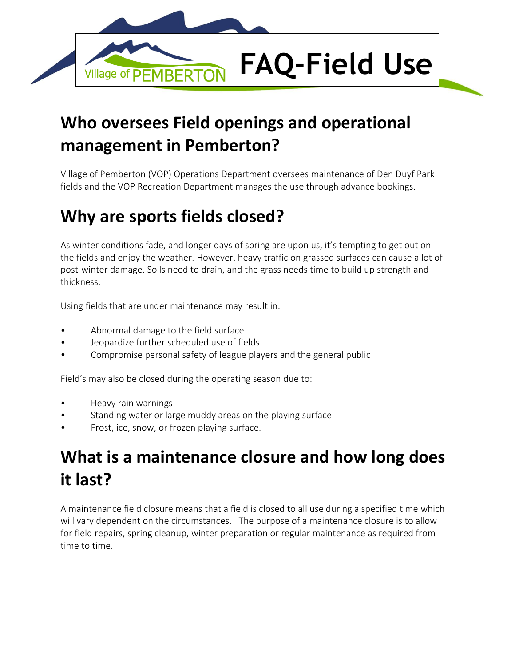

#### **Who oversees Field openings and operational management in Pemberton?**

Village of Pemberton (VOP) Operations Department oversees maintenance of Den Duyf Park fields and the VOP Recreation Department manages the use through advance bookings.

#### **Why are sports fields closed?**

As winter conditions fade, and longer days of spring are upon us, it's tempting to get out on the fields and enjoy the weather. However, heavy traffic on grassed surfaces can cause a lot of post-winter damage. Soils need to drain, and the grass needs time to build up strength and thickness.

Using fields that are under maintenance may result in:

- Abnormal damage to the field surface
- Jeopardize further scheduled use of fields
- Compromise personal safety of league players and the general public

Field's may also be closed during the operating season due to:

- Heavy rain warnings
- Standing water or large muddy areas on the playing surface
- Frost, ice, snow, or frozen playing surface.

#### **What is a maintenance closure and how long does it last?**

A maintenance field closure means that a field is closed to all use during a specified time which will vary dependent on the circumstances. The purpose of a maintenance closure is to allow for field repairs, spring cleanup, winter preparation or regular maintenance as required from time to time.